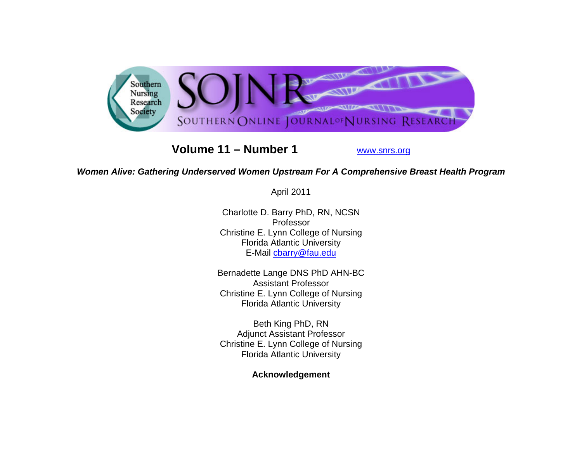

**Volume 11 – Number 1**

www.snrs.org

## *Women Alive: Gathering Underserved Women Upstream For A Comprehensive Breast Health Program*

April 2011

Charlotte D. Barry PhD, RN, NCSN Professor Christine E. Lynn College of Nursing Florida Atlantic University E-Mail cbarry@fau.edu

Bernadette Lange DNS PhD AHN-BC Assistant Professor Christine E. Lynn College of Nursing Florida Atlantic University

Beth King PhD, RN Adjunct Assistant Professor Christine E. Lynn College of Nursing Florida Atlantic University

**Acknowledgement**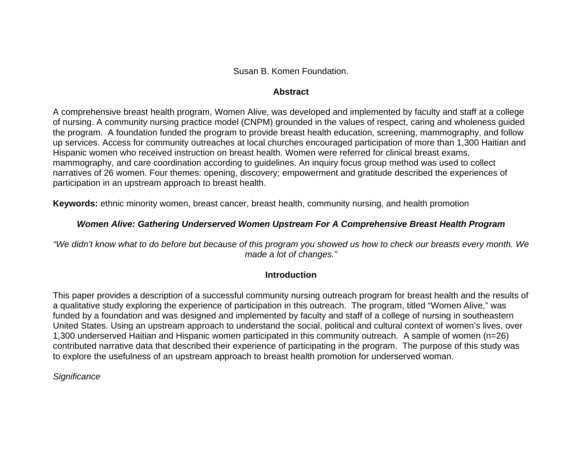Susan B. Komen Foundation.

#### **Abstract**

A comprehensive breast health program, Women Alive, was developed and implemented by faculty and staff at a college of nursing. A community nursing practice model (CNPM) grounded in the values of respect, caring and wholeness guided the program. A foundation funded the program to provide breast health education, screening, mammography, and follow up services. Access for community outreaches at local churches encouraged participation of more than 1,300 Haitian and Hispanic women who received instruction on breast health. Women were referred for clinical breast exams, mammography, and care coordination according to guidelines. An inquiry focus group method was used to collect narratives of 26 women. Four themes: opening, discovery; empowerment and gratitude described the experiences of participation in an upstream approach to breast health.

**Keywords:** ethnic minority women, breast cancer, breast health, community nursing, and health promotion

## *Women Alive: Gathering Underserved Women Upstream For A Comprehensive Breast Health Program*

*"We didn't know what to do before but because of this program you showed us how to check our breasts every month. We made a lot of changes."*

## **Introduction**

This paper provides a description of a successful community nursing outreach program for breast health and the results of a qualitative study exploring the experience of participation in this outreach. The program, titled "Women Alive," was funded by a foundation and was designed and implemented by faculty and staff of a college of nursing in southeastern United States. Using an upstream approach to understand the social, political and cultural context of women's lives, over 1,300 underserved Haitian and Hispanic women participated in this community outreach. A sample of women (n=26) contributed narrative data that described their experience of participating in the program. The purpose of this study was to explore the usefulness of an upstream approach to breast health promotion for underserved woman.

*Significance*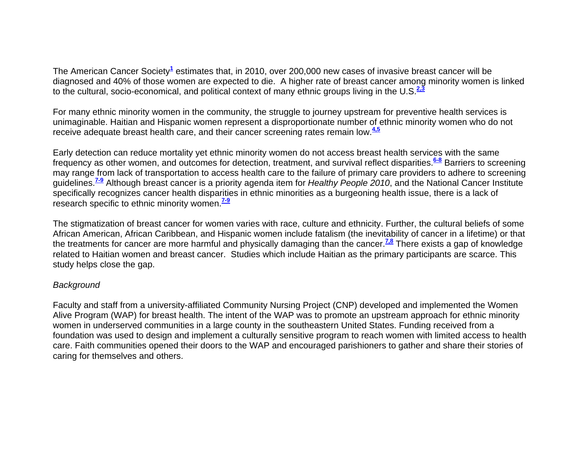The American Cancer Society**<sup>1</sup>** estimates that, in 2010, over 200,000 new cases of invasive breast cancer will be diagnosed and 40% of those women are expected to die. A higher rate of breast cancer among minority women is linked to the cultural, socio-economical, and political context of many ethnic groups living in the U.S.**2,3**

For many ethnic minority women in the community, the struggle to journey upstream for preventive health services is unimaginable. Haitian and Hispanic women represent a disproportionate number of ethnic minority women who do not receive adequate breast health care, and their cancer screening rates remain low.**4,5**

Early detection can reduce mortality yet ethnic minority women do not access breast health services with the same frequency as other women, and outcomes for detection, treatment, and survival reflect disparities.**6-8** Barriers to screening may range from lack of transportation to access health care to the failure of primary care providers to adhere to screening guidelines.**7-9** Although breast cancer is a priority agenda item for *Healthy People 2010*, and the National Cancer Institute specifically recognizes cancer health disparities in ethnic minorities as a burgeoning health issue, there is a lack of research specific to ethnic minority women.<sup>19</sup>

The stigmatization of breast cancer for women varies with race, culture and ethnicity. Further, the cultural beliefs of some African American, African Caribbean, and Hispanic women include fatalism (the inevitability of cancer in a lifetime) or that the treatments for cancer are more harmful and physically damaging than the cancer.<sup>7,8</sup> There exists a gap of knowledge related to Haitian women and breast cancer. Studies which include Haitian as the primary participants are scarce. This study helps close the gap.

#### *Background*

Faculty and staff from a university-affiliated Community Nursing Project (CNP) developed and implemented the Women Alive Program (WAP) for breast health. The intent of the WAP was to promote an upstream approach for ethnic minority women in underserved communities in a large county in the southeastern United States. Funding received from a foundation was used to design and implement a culturally sensitive program to reach women with limited access to health care. Faith communities opened their doors to the WAP and encouraged parishioners to gather and share their stories of caring for themselves and others.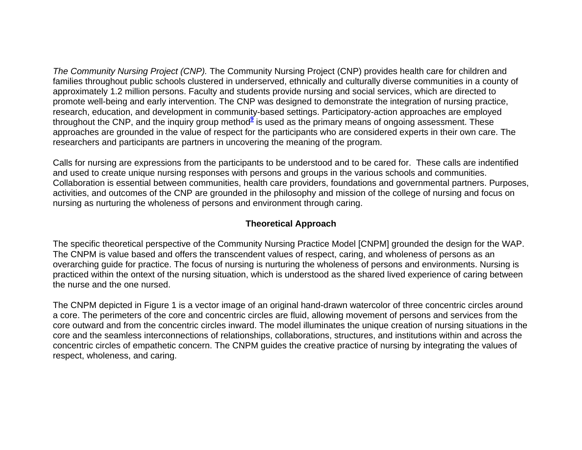*The Community Nursing Project (CNP).* The Community Nursing Project (CNP) provides health care for children and families throughout public schools clustered in underserved, ethnically and culturally diverse communities in a county of approximately 1.2 million persons. Faculty and students provide nursing and social services, which are directed to promote well-being and early intervention. The CNP was designed to demonstrate the integration of nursing practice, research, education, and development in community-based settings. Participatory-action approaches are employed throughout the CNP, and the inquiry group method**<sup>9</sup>** is used as the primary means of ongoing assessment. These approaches are grounded in the value of respect for the participants who are considered experts in their own care. The researchers and participants are partners in uncovering the meaning of the program.

Calls for nursing are expressions from the participants to be understood and to be cared for. These calls are indentified and used to create unique nursing responses with persons and groups in the various schools and communities. Collaboration is essential between communities, health care providers, foundations and governmental partners. Purposes, activities, and outcomes of the CNP are grounded in the philosophy and mission of the college of nursing and focus on nursing as nurturing the wholeness of persons and environment through caring.

## **Theoretical Approach**

The specific theoretical perspective of the Community Nursing Practice Model [CNPM] grounded the design for the WAP. The CNPM is value based and offers the transcendent values of respect, caring, and wholeness of persons as an overarching guide for practice. The focus of nursing is nurturing the wholeness of persons and environments. Nursing is practiced within the ontext of the nursing situation, which is understood as the shared lived experience of caring between the nurse and the one nursed.

The CNPM depicted in Figure 1 is a vector image of an original hand-drawn watercolor of three concentric circles around a core. The perimeters of the core and concentric circles are fluid, allowing movement of persons and services from the core outward and from the concentric circles inward. The model illuminates the unique creation of nursing situations in the core and the seamless interconnections of relationships, collaborations, structures, and institutions within and across the concentric circles of empathetic concern. The CNPM guides the creative practice of nursing by integrating the values of respect, wholeness, and caring.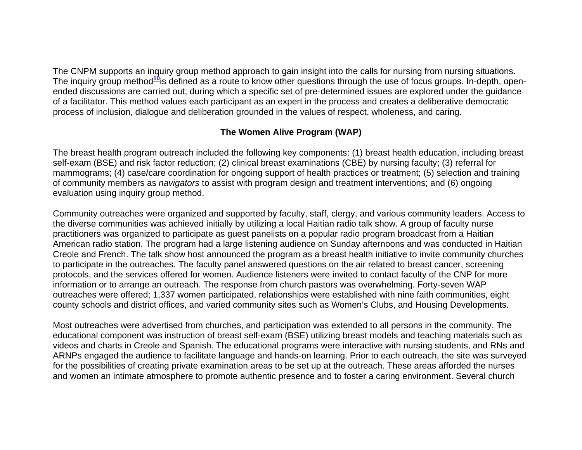The CNPM supports an inquiry group method approach to gain insight into the calls for nursing from nursing situations. The inquiry group method**<sup>10</sup>**is defined as a route to know other questions through the use of focus groups. In-depth, openended discussions are carried out, during which a specific set of pre-determined issues are explored under the guidance of a facilitator. This method values each participant as an expert in the process and creates a deliberative democratic process of inclusion, dialogue and deliberation grounded in the values of respect, wholeness, and caring.

# **The Women Alive Program (WAP)**

The breast health program outreach included the following key components: (1) breast health education, including breast self-exam (BSE) and risk factor reduction; (2) clinical breast examinations (CBE) by nursing faculty; (3) referral for mammograms; (4) case/care coordination for ongoing support of health practices or treatment; (5) selection and training of community members as *navigators* to assist with program design and treatment interventions; and (6) ongoing evaluation using inquiry group method.

Community outreaches were organized and supported by faculty, staff, clergy, and various community leaders. Access to the diverse communities was achieved initially by utilizing a local Haitian radio talk show. A group of faculty nurse practitioners was organized to participate as guest panelists on a popular radio program broadcast from a Haitian American radio station. The program had a large listening audience on Sunday afternoons and was conducted in Haitian Creole and French. The talk show host announced the program as a breast health initiative to invite community churches to participate in the outreaches. The faculty panel answered questions on the air related to breast cancer, screening protocols, and the services offered for women. Audience listeners were invited to contact faculty of the CNP for more information or to arrange an outreach. The response from church pastors was overwhelming. Forty-seven WAP outreaches were offered; 1,337 women participated, relationships were established with nine faith communities, eight county schools and district offices, and varied community sites such as Women's Clubs, and Housing Developments.

Most outreaches were advertised from churches, and participation was extended to all persons in the community. The educational component was instruction of breast self-exam (BSE) utilizing breast models and teaching materials such as videos and charts in Creole and Spanish. The educational programs were interactive with nursing students, and RNs and ARNPs engaged the audience to facilitate language and hands-on learning. Prior to each outreach, the site was surveyed for the possibilities of creating private examination areas to be set up at the outreach. These areas afforded the nurses and women an intimate atmosphere to promote authentic presence and to foster a caring environment. Several church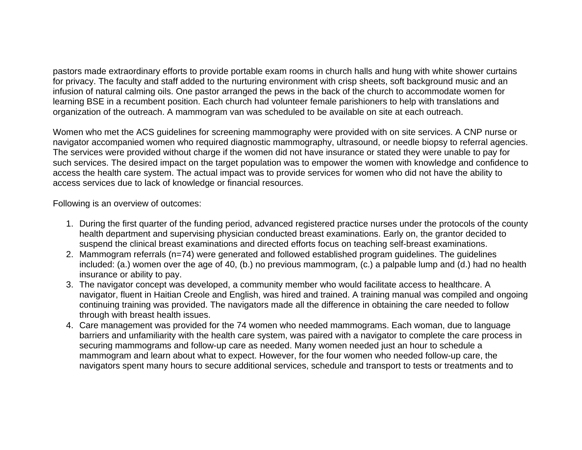pastors made extraordinary efforts to provide portable exam rooms in church halls and hung with white shower curtains for privacy. The faculty and staff added to the nurturing environment with crisp sheets, soft background music and an infusion of natural calming oils. One pastor arranged the pews in the back of the church to accommodate women for learning BSE in a recumbent position. Each church had volunteer female parishioners to help with translations and organization of the outreach. A mammogram van was scheduled to be available on site at each outreach.

Women who met the ACS guidelines for screening mammography were provided with on site services. A CNP nurse or navigator accompanied women who required diagnostic mammography, ultrasound, or needle biopsy to referral agencies. The services were provided without charge if the women did not have insurance or stated they were unable to pay for such services. The desired impact on the target population was to empower the women with knowledge and confidence to access the health care system. The actual impact was to provide services for women who did not have the ability to access services due to lack of knowledge or financial resources.

Following is an overview of outcomes:

- 1. During the first quarter of the funding period, advanced registered practice nurses under the protocols of the county health department and supervising physician conducted breast examinations. Early on, the grantor decided to suspend the clinical breast examinations and directed efforts focus on teaching self-breast examinations.
- 2. Mammogram referrals (n=74) were generated and followed established program guidelines. The guidelines included: (a.) women over the age of 40, (b.) no previous mammogram, (c.) a palpable lump and (d.) had no health insurance or ability to pay.
- 3. The navigator concept was developed, a community member who would facilitate access to healthcare. A navigator, fluent in Haitian Creole and English, was hired and trained. A training manual was compiled and ongoing continuing training was provided. The navigators made all the difference in obtaining the care needed to follow through with breast health issues.
- 4. Care management was provided for the 74 women who needed mammograms. Each woman, due to language barriers and unfamiliarity with the health care system, was paired with a navigator to complete the care process in securing mammograms and follow-up care as needed. Many women needed just an hour to schedule a mammogram and learn about what to expect. However, for the four women who needed follow-up care, the navigators spent many hours to secure additional services, schedule and transport to tests or treatments and to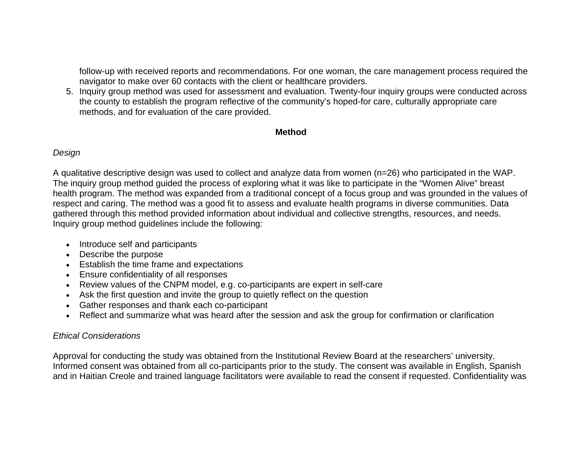follow-up with received reports and recommendations. For one woman, the care management process required the navigator to make over 60 contacts with the client or healthcare providers.

5. Inquiry group method was used for assessment and evaluation. Twenty-four inquiry groups were conducted across the county to establish the program reflective of the community's hoped-for care, culturally appropriate care methods, and for evaluation of the care provided.

#### **Method**

#### *Design*

A qualitative descriptive design was used to collect and analyze data from women (n=26) who participated in the WAP. The inquiry group method guided the process of exploring what it was like to participate in the "Women Alive" breast health program. The method was expanded from a traditional concept of a focus group and was grounded in the values of respect and caring. The method was a good fit to assess and evaluate health programs in diverse communities. Data gathered through this method provided information about individual and collective strengths, resources, and needs. Inquiry group method guidelines include the following:

- Introduce self and participants
- Describe the purpose
- Establish the time frame and expectations
- Ensure confidentiality of all responses
- Review values of the CNPM model, e.g. co-participants are expert in self-care
- Ask the first question and invite the group to quietly reflect on the question
- Gather responses and thank each co-participant
- Reflect and summarize what was heard after the session and ask the group for confirmation or clarification

# *Ethical Considerations*

Approval for conducting the study was obtained from the Institutional Review Board at the researchers' university. Informed consent was obtained from all co-participants prior to the study. The consent was available in English, Spanish and in Haitian Creole and trained language facilitators were available to read the consent if requested. Confidentiality was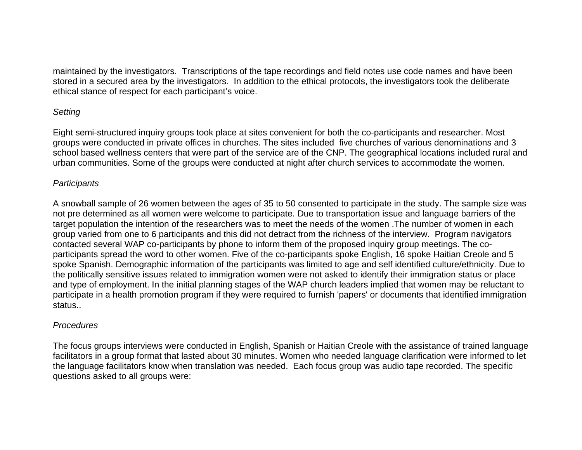maintained by the investigators. Transcriptions of the tape recordings and field notes use code names and have been stored in a secured area by the investigators. In addition to the ethical protocols, the investigators took the deliberate ethical stance of respect for each participant's voice.

#### *Setting*

Eight semi-structured inquiry groups took place at sites convenient for both the co-participants and researcher. Most groups were conducted in private offices in churches. The sites included five churches of various denominations and 3 school based wellness centers that were part of the service are of the CNP. The geographical locations included rural and urban communities. Some of the groups were conducted at night after church services to accommodate the women.

#### *Participants*

A snowball sample of 26 women between the ages of 35 to 50 consented to participate in the study. The sample size was not pre determined as all women were welcome to participate. Due to transportation issue and language barriers of the target population the intention of the researchers was to meet the needs of the women .The number of women in each group varied from one to 6 participants and this did not detract from the richness of the interview. Program navigators contacted several WAP co-participants by phone to inform them of the proposed inquiry group meetings. The coparticipants spread the word to other women. Five of the co-participants spoke English, 16 spoke Haitian Creole and 5 spoke Spanish. Demographic information of the participants was limited to age and self identified culture/ethnicity. Due to the politically sensitive issues related to immigration women were not asked to identify their immigration status or place and type of employment. In the initial planning stages of the WAP church leaders implied that women may be reluctant to participate in a health promotion program if they were required to furnish 'papers' or documents that identified immigration status..

## *Procedures*

The focus groups interviews were conducted in English, Spanish or Haitian Creole with the assistance of trained language facilitators in a group format that lasted about 30 minutes. Women who needed language clarification were informed to let the language facilitators know when translation was needed. Each focus group was audio tape recorded. The specific questions asked to all groups were: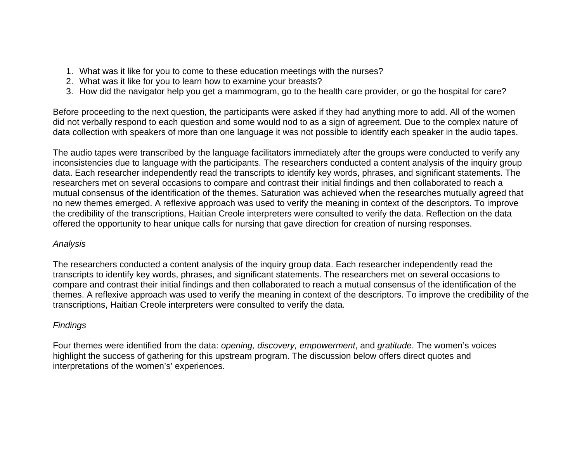- 1. What was it like for you to come to these education meetings with the nurses?
- 2. What was it like for you to learn how to examine your breasts?
- 3. How did the navigator help you get a mammogram, go to the health care provider, or go the hospital for care?

Before proceeding to the next question, the participants were asked if they had anything more to add. All of the women did not verbally respond to each question and some would nod to as a sign of agreement. Due to the complex nature of data collection with speakers of more than one language it was not possible to identify each speaker in the audio tapes.

The audio tapes were transcribed by the language facilitators immediately after the groups were conducted to verify any inconsistencies due to language with the participants. The researchers conducted a content analysis of the inquiry group data. Each researcher independently read the transcripts to identify key words, phrases, and significant statements. The researchers met on several occasions to compare and contrast their initial findings and then collaborated to reach a mutual consensus of the identification of the themes. Saturation was achieved when the researches mutually agreed that no new themes emerged. A reflexive approach was used to verify the meaning in context of the descriptors. To improve the credibility of the transcriptions, Haitian Creole interpreters were consulted to verify the data. Reflection on the data offered the opportunity to hear unique calls for nursing that gave direction for creation of nursing responses.

## *Analysis*

The researchers conducted a content analysis of the inquiry group data. Each researcher independently read the transcripts to identify key words, phrases, and significant statements. The researchers met on several occasions to compare and contrast their initial findings and then collaborated to reach a mutual consensus of the identification of the themes. A reflexive approach was used to verify the meaning in context of the descriptors. To improve the credibility of the transcriptions, Haitian Creole interpreters were consulted to verify the data.

# *Findings*

Four themes were identified from the data: *opening, discovery, empowerment*, and *gratitude*. The women's voices highlight the success of gathering for this upstream program. The discussion below offers direct quotes and interpretations of the women's' experiences.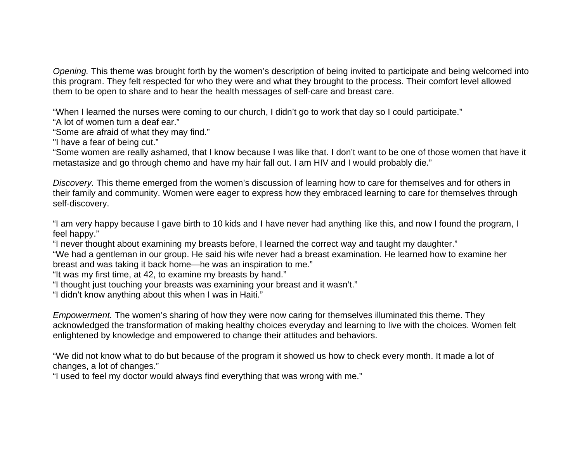*Opening.* This theme was brought forth by the women's description of being invited to participate and being welcomed into this program. They felt respected for who they were and what they brought to the process. Their comfort level allowed them to be open to share and to hear the health messages of self-care and breast care.

"When I learned the nurses were coming to our church, I didn't go to work that day so I could participate."

"A lot of women turn a deaf ear."

"Some are afraid of what they may find."

"I have a fear of being cut."

"Some women are really ashamed, that I know because I was like that. I don't want to be one of those women that have it metastasize and go through chemo and have my hair fall out. I am HIV and I would probably die."

*Discovery.* This theme emerged from the women's discussion of learning how to care for themselves and for others in their family and community. Women were eager to express how they embraced learning to care for themselves through self-discovery.

"I am very happy because I gave birth to 10 kids and I have never had anything like this, and now I found the program, I feel happy."

"I never thought about examining my breasts before, I learned the correct way and taught my daughter."

"We had a gentleman in our group. He said his wife never had a breast examination. He learned how to examine her breast and was taking it back home—he was an inspiration to me."

"It was my first time, at 42, to examine my breasts by hand."

"I thought just touching your breasts was examining your breast and it wasn't."

"I didn't know anything about this when I was in Haiti."

*Empowerment.* The women's sharing of how they were now caring for themselves illuminated this theme. They acknowledged the transformation of making healthy choices everyday and learning to live with the choices. Women felt enlightened by knowledge and empowered to change their attitudes and behaviors.

"We did not know what to do but because of the program it showed us how to check every month. It made a lot of changes, a lot of changes."

"I used to feel my doctor would always find everything that was wrong with me."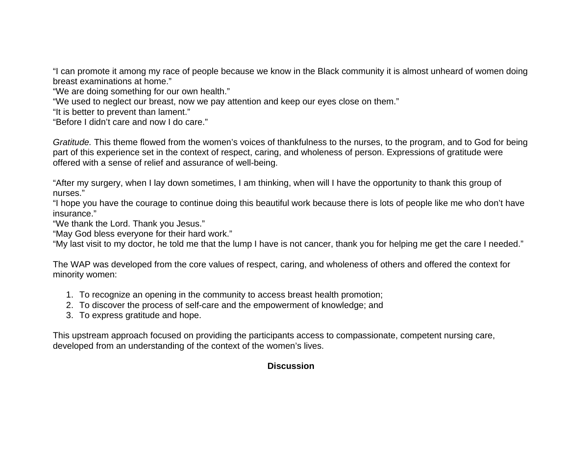"I can promote it among my race of people because we know in the Black community it is almost unheard of women doing breast examinations at home."

"We are doing something for our own health."

"We used to neglect our breast, now we pay attention and keep our eyes close on them."

"It is better to prevent than lament."

"Before I didn't care and now I do care."

*Gratitude.* This theme flowed from the women's voices of thankfulness to the nurses, to the program, and to God for being part of this experience set in the context of respect, caring, and wholeness of person. Expressions of gratitude were offered with a sense of relief and assurance of well-being.

"After my surgery, when I lay down sometimes, I am thinking, when will I have the opportunity to thank this group of nurses."

"I hope you have the courage to continue doing this beautiful work because there is lots of people like me who don't have insurance."

"We thank the Lord. Thank you Jesus."

"May God bless everyone for their hard work."

"My last visit to my doctor, he told me that the lump I have is not cancer, thank you for helping me get the care I needed."

The WAP was developed from the core values of respect, caring, and wholeness of others and offered the context for minority women:

- 1. To recognize an opening in the community to access breast health promotion;
- 2. To discover the process of self-care and the empowerment of knowledge; and
- 3. To express gratitude and hope.

This upstream approach focused on providing the participants access to compassionate, competent nursing care, developed from an understanding of the context of the women's lives.

## **Discussion**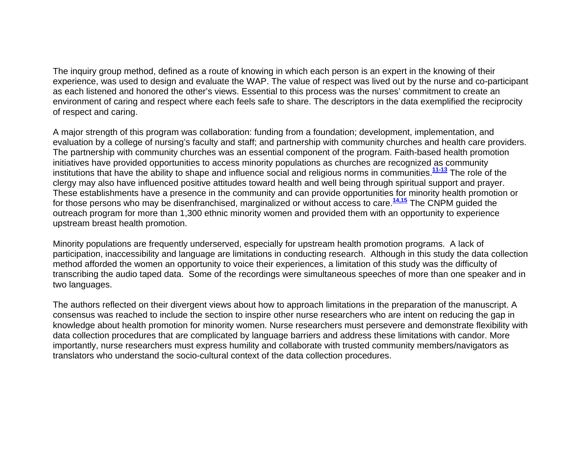The inquiry group method, defined as a route of knowing in which each person is an expert in the knowing of their experience, was used to design and evaluate the WAP. The value of respect was lived out by the nurse and co-participant as each listened and honored the other's views. Essential to this process was the nurses' commitment to create an environment of caring and respect where each feels safe to share. The descriptors in the data exemplified the reciprocity of respect and caring.

A major strength of this program was collaboration: funding from a foundation; development, implementation, and evaluation by a college of nursing's faculty and staff; and partnership with community churches and health care providers. The partnership with community churches was an essential component of the program. Faith-based health promotion initiatives have provided opportunities to access minority populations as churches are recognized as community institutions that have the ability to shape and influence social and religious norms in communities.**11-13** The role of the clergy may also have influenced positive attitudes toward health and well being through spiritual support and prayer. These establishments have a presence in the community and can provide opportunities for minority health promotion or for those persons who may be disenfranchised, marginalized or without access to care.**14,15** The CNPM guided the outreach program for more than 1,300 ethnic minority women and provided them with an opportunity to experience upstream breast health promotion.

Minority populations are frequently underserved, especially for upstream health promotion programs. A lack of participation, inaccessibility and language are limitations in conducting research. Although in this study the data collection method afforded the women an opportunity to voice their experiences, a limitation of this study was the difficulty of transcribing the audio taped data. Some of the recordings were simultaneous speeches of more than one speaker and in two languages.

The authors reflected on their divergent views about how to approach limitations in the preparation of the manuscript. A consensus was reached to include the section to inspire other nurse researchers who are intent on reducing the gap in knowledge about health promotion for minority women. Nurse researchers must persevere and demonstrate flexibility with data collection procedures that are complicated by language barriers and address these limitations with candor. More importantly, nurse researchers must express humility and collaborate with trusted community members/navigators as translators who understand the socio-cultural context of the data collection procedures.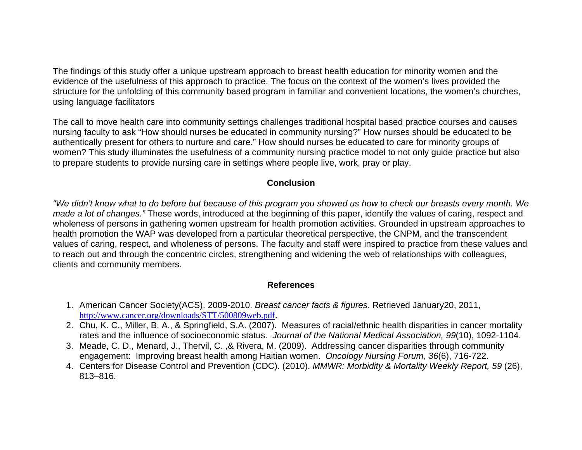The findings of this study offer a unique upstream approach to breast health education for minority women and the evidence of the usefulness of this approach to practice. The focus on the context of the women's lives provided the structure for the unfolding of this community based program in familiar and convenient locations, the women's churches, using language facilitators

The call to move health care into community settings challenges traditional hospital based practice courses and causes nursing faculty to ask "How should nurses be educated in community nursing?" How nurses should be educated to be authentically present for others to nurture and care." How should nurses be educated to care for minority groups of women? This study illuminates the usefulness of a community nursing practice model to not only guide practice but also to prepare students to provide nursing care in settings where people live, work, pray or play.

## **Conclusion**

*"We didn't know what to do before but because of this program you showed us how to check our breasts every month. We made a lot of changes."* These words, introduced at the beginning of this paper, identify the values of caring, respect and wholeness of persons in gathering women upstream for health promotion activities. Grounded in upstream approaches to health promotion the WAP was developed from a particular theoretical perspective, the CNPM, and the transcendent values of caring, respect, and wholeness of persons. The faculty and staff were inspired to practice from these values and to reach out and through the concentric circles, strengthening and widening the web of relationships with colleagues, clients and community members.

## **References**

- 1. American Cancer Society(ACS). 2009-2010. *Breast cancer facts & figures*. Retrieved January20, 2011, http://www.cancer.org/downloads/STT/500809web.pdf.
- 2. Chu, K. C., Miller, B. A., & Springfield, S.A. (2007). Measures of racial/ethnic health disparities in cancer mortality rates and the influence of socioeconomic status. *Journal of the National Medical Association, 99*(10), 1092-1104.
- 3. Meade, C. D., Menard, J., Thervil, C. ,& Rivera, M. (2009). Addressing cancer disparities through community engagement: Improving breast health among Haitian women. *Oncology Nursing Forum, 36*(6), 716-722.
- 4. Centers for Disease Control and Prevention (CDC). (2010). *MMWR: Morbidity & Mortality Weekly Report, 59* (26), 813–816.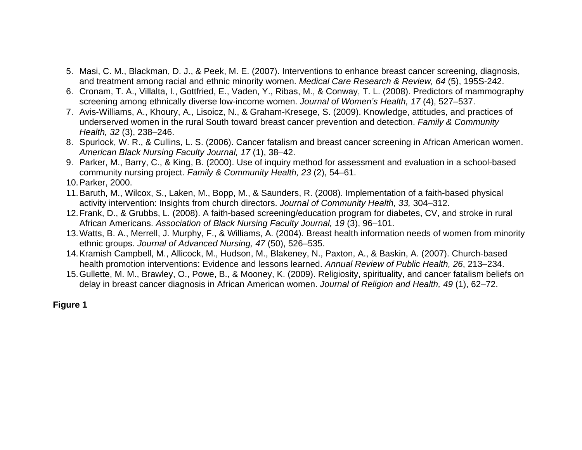- 5. Masi, C. M., Blackman, D. J., & Peek, M. E. (2007). Interventions to enhance breast cancer screening, diagnosis, and treatment among racial and ethnic minority women. *Medical Care Research & Review, 64* (5), 195S-242.
- 6. Cronam, T. A., Villalta, I., Gottfried, E., Vaden, Y., Ribas, M., & Conway, T. L. (2008). Predictors of mammography screening among ethnically diverse low-income women. *Journal of Women's Health, 17* (4), 527–537.
- 7. Avis-Williams, A., Khoury, A., Lisoicz, N., & Graham-Kresege, S. (2009). Knowledge, attitudes, and practices of underserved women in the rural South toward breast cancer prevention and detection. *Family & Community Health, 32* (3), 238–246.
- 8. Spurlock, W. R., & Cullins, L. S. (2006). Cancer fatalism and breast cancer screening in African American women. *American Black Nursing Faculty Journal, 17* (1), 38–42.
- 9. Parker, M., Barry, C., & King, B. (2000). Use of inquiry method for assessment and evaluation in a school-based community nursing project. *Family & Community Health, 23* (2), 54–61.
- 10. Parker, 2000.
- 11. Baruth, M., Wilcox, S., Laken, M., Bopp, M., & Saunders, R. (2008). Implementation of a faith-based physical activity intervention: Insights from church directors. *Journal of Community Health, 33,* 304–312.
- 12. Frank, D., & Grubbs, L. (2008). A faith-based screening/education program for diabetes, CV, and stroke in rural African Americans. *Association of Black Nursing Faculty Journal, 19* (3), 96–101.
- 13. Watts, B. A., Merrell, J. Murphy, F., & Williams, A. (2004). Breast health information needs of women from minority ethnic groups. *Journal of Advanced Nursing, 47* (50), 526–535.
- 14. Kramish Campbell, M., Allicock, M., Hudson, M., Blakeney, N., Paxton, A., & Baskin, A. (2007). Church-based health promotion interventions: Evidence and lessons learned. *Annual Review of Public Health, 26*, 213–234.
- 15. Gullette, M. M., Brawley, O., Powe, B., & Mooney, K. (2009). Religiosity, spirituality, and cancer fatalism beliefs on delay in breast cancer diagnosis in African American women. *Journal of Religion and Health, 49* (1), 62–72.

## **Figure 1**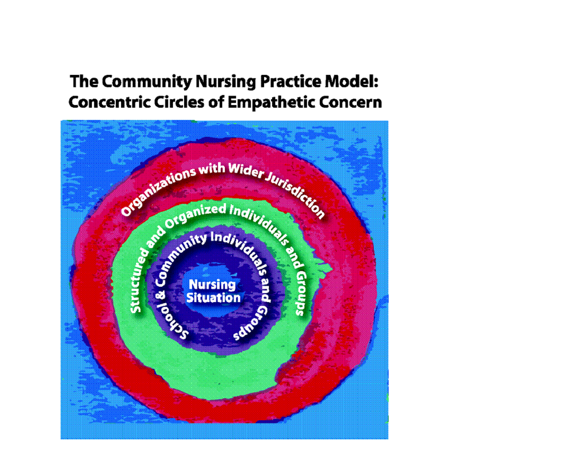# **The Community Nursing Practice Model: Concentric Circles of Empathetic Concern**